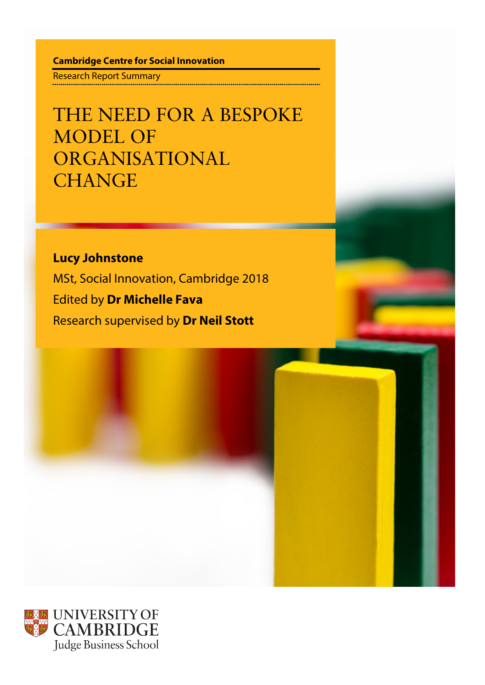**Cambridge Centre for Social Innovation**

Research Report Summary

THE NEED FOR A BESPOKE MODEL OF ORGANISATIONAL **CHANGE** 

**Lucy Johnstone** MSt, Social Innovation, Cambridge 2018 Edited by **Dr Michelle Fava** Research supervised by **Dr Neil Stott**

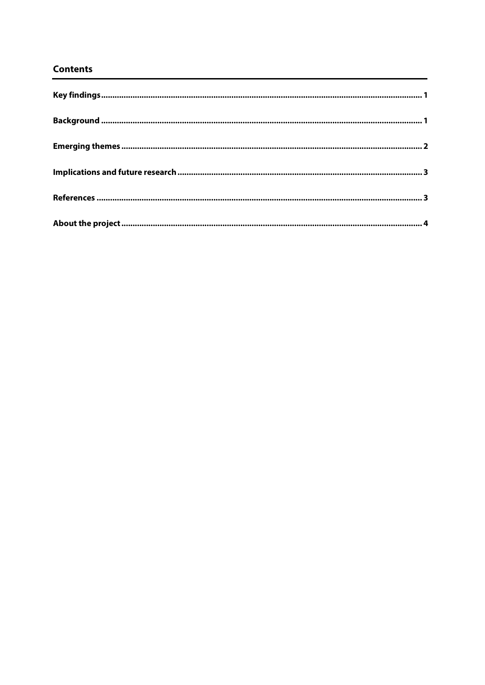## **Contents**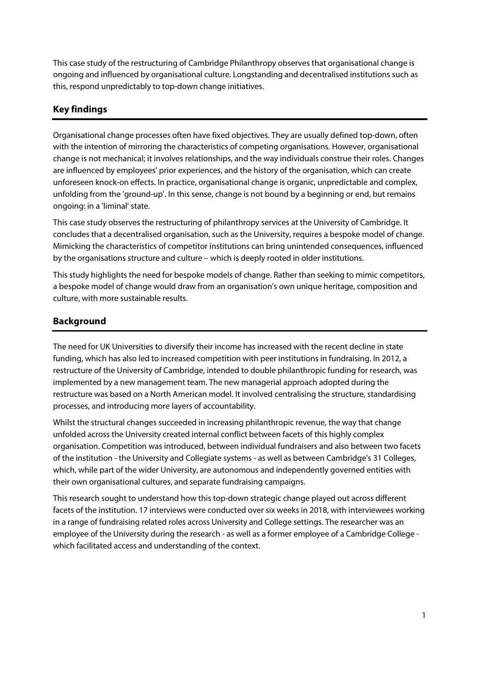This case study of the restructuring of Cambridge Philanthropy observes that organisational change is ongoing and influenced by organisational culture. Longstanding and decentralised institutions such as this, respond unpredictably to top-down change initiatives.

## <span id="page-2-0"></span>**Key findings**

Organisational change processes often have fixed objectives. They are usually defined top-down, often with the intention of mirroring the characteristics of competing organisations. However, organisational change is not mechanical; it involves relationships, and the way individuals construe their roles. Changes are influenced by employees' prior experiences, and the history of the organisation, which can create unforeseen knock-on effects. In practice, organisational change is organic, unpredictable and complex, unfolding from the 'ground-up'. In this sense, change is not bound by a beginning or end, but remains ongoing: in a 'liminal' state.

This case study observes the restructuring of philanthropy services at the University of Cambridge. It concludes that a decentralised organisation, such as the University, requires a bespoke model of change. Mimicking the characteristics of competitor institutions can bring unintended consequences, influenced by the organisations structure and culture – which is deeply rooted in older institutions.

This study highlights the need for bespoke models of change. Rather than seeking to mimic competitors, a bespoke model of change would draw from an organisation's own unique heritage, composition and culture, with more sustainable results.

# <span id="page-2-1"></span>**Background**

The need for UK Universities to diversify their income has increased with the recent decline in state funding, which has also led to increased competition with peer institutions in fundraising. In 2012, a restructure of the University of Cambridge, intended to double philanthropic funding for research, was implemented by a new management team. The new managerial approach adopted during the restructure was based on a North American model. It involved centralising the structure, standardising processes, and introducing more layers of accountability.

Whilst the structural changes succeeded in increasing philanthropic revenue, the way that change unfolded across the University created internal conflict between facets of this highly complex organisation. Competition was introduced, between individual fundraisers and also between two facets of the institution - the University and Collegiate systems - as well as between Cambridge's 31 Colleges, which, while part of the wider University, are autonomous and independently governed entities with their own organisational cultures, and separate fundraising campaigns.

This research sought to understand how this top-down strategic change played out across different facets of the institution. 17 interviews were conducted over six weeks in 2018, with interviewees working in a range of fundraising related roles across University and College settings. The researcher was an employee of the University during the research - as well as a former employee of a Cambridge College which facilitated access and understanding of the context.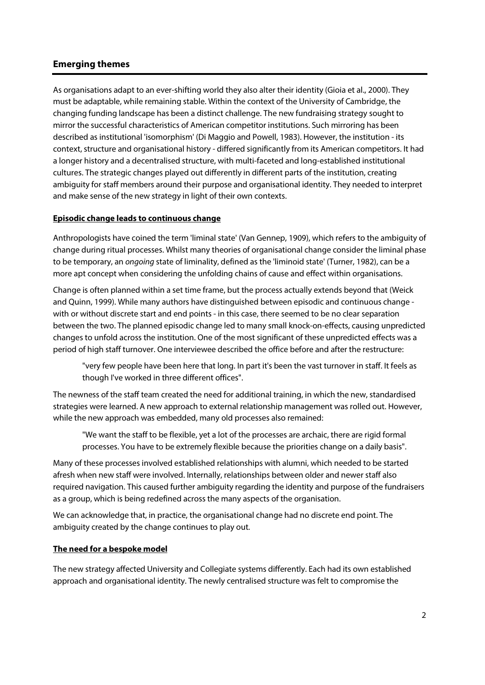## <span id="page-3-0"></span>**Emerging themes**

As organisations adapt to an ever-shifting world they also alter their identity (Gioia et al., 2000). They must be adaptable, while remaining stable. Within the context of the University of Cambridge, the changing funding landscape has been a distinct challenge. The new fundraising strategy sought to mirror the successful characteristics of American competitor institutions. Such mirroring has been described as institutional 'isomorphism' (Di Maggio and Powell, 1983). However, the institution - its context, structure and organisational history - differed significantly from its American competitors. It had a longer history and a decentralised structure, with multi-faceted and long-established institutional cultures. The strategic changes played out differently in different parts of the institution, creating ambiguity for staff members around their purpose and organisational identity. They needed to interpret and make sense of the new strategy in light of their own contexts.

#### **Episodic change leads to continuous change**

Anthropologists have coined the term 'liminal state' (Van Gennep, 1909), which refers to the ambiguity of change during ritual processes. Whilst many theories of organisational change consider the liminal phase to be temporary, an *ongoing* state of liminality, defined as the 'liminoid state' (Turner, 1982), can be a more apt concept when considering the unfolding chains of cause and effect within organisations.

Change is often planned within a set time frame, but the process actually extends beyond that (Weick and Quinn, 1999). While many authors have distinguished between episodic and continuous change with or without discrete start and end points - in this case, there seemed to be no clear separation between the two. The planned episodic change led to many small knock-on-effects, causing unpredicted changes to unfold across the institution. One of the most significant of these unpredicted effects was a period of high staff turnover. One interviewee described the office before and after the restructure:

"very few people have been here that long. In part it's been the vast turnover in staff. It feels as though I've worked in three different offices".

The newness of the staff team created the need for additional training, in which the new, standardised strategies were learned. A new approach to external relationship management was rolled out. However, while the new approach was embedded, many old processes also remained:

"We want the staff to be flexible, yet a lot of the processes are archaic, there are rigid formal processes. You have to be extremely flexible because the priorities change on a daily basis".

Many of these processes involved established relationships with alumni, which needed to be started afresh when new staff were involved. Internally, relationships between older and newer staff also required navigation. This caused further ambiguity regarding the identity and purpose of the fundraisers as a group, which is being redefined across the many aspects of the organisation.

We can acknowledge that, in practice, the organisational change had no discrete end point. The ambiguity created by the change continues to play out.

#### **The need for a bespoke model**

The new strategy affected University and Collegiate systems differently. Each had its own established approach and organisational identity. The newly centralised structure was felt to compromise the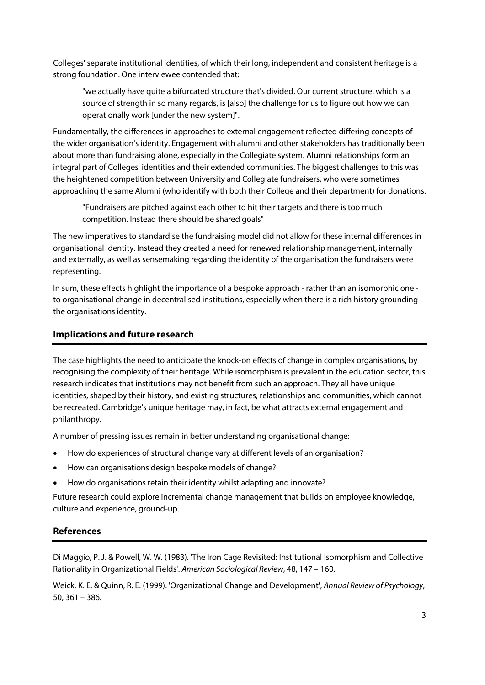Colleges' separate institutional identities, of which their long, independent and consistent heritage is a strong foundation. One interviewee contended that:

"we actually have quite a bifurcated structure that's divided. Our current structure, which is a source of strength in so many regards, is [also] the challenge for us to figure out how we can operationally work [under the new system]".

Fundamentally, the differences in approaches to external engagement reflected differing concepts of the wider organisation's identity. Engagement with alumni and other stakeholders has traditionally been about more than fundraising alone, especially in the Collegiate system. Alumni relationships form an integral part of Colleges' identities and their extended communities. The biggest challenges to this was the heightened competition between University and Collegiate fundraisers, who were sometimes approaching the same Alumni (who identify with both their College and their department) for donations.

"Fundraisers are pitched against each other to hit their targets and there is too much competition. Instead there should be shared goals"

The new imperatives to standardise the fundraising model did not allow for these internal differences in organisational identity. Instead they created a need for renewed relationship management, internally and externally, as well as sensemaking regarding the identity of the organisation the fundraisers were representing.

In sum, these effects highlight the importance of a bespoke approach - rather than an isomorphic one to organisational change in decentralised institutions, especially when there is a rich history grounding the organisations identity.

## <span id="page-4-0"></span>**Implications and future research**

The case highlights the need to anticipate the knock-on effects of change in complex organisations, by recognising the complexity of their heritage. While isomorphism is prevalent in the education sector, this research indicates that institutions may not benefit from such an approach. They all have unique identities, shaped by their history, and existing structures, relationships and communities, which cannot be recreated. Cambridge's unique heritage may, in fact, be what attracts external engagement and philanthropy.

A number of pressing issues remain in better understanding organisational change:

- How do experiences of structural change vary at different levels of an organisation?
- How can organisations design bespoke models of change?
- How do organisations retain their identity whilst adapting and innovate?

Future research could explore incremental change management that builds on employee knowledge, culture and experience, ground-up.

#### <span id="page-4-1"></span>**References**

Di Maggio, P. J. & Powell, W. W. (1983). 'The Iron Cage Revisited: Institutional Isomorphism and Collective Rationality in Organizational Fields'. *American Sociological Review*, 48, 147 – 160.

Weick, K. E. & Quinn, R. E. (1999). 'Organizational Change and Development', *Annual Review of Psychology*, 50, 361 – 386.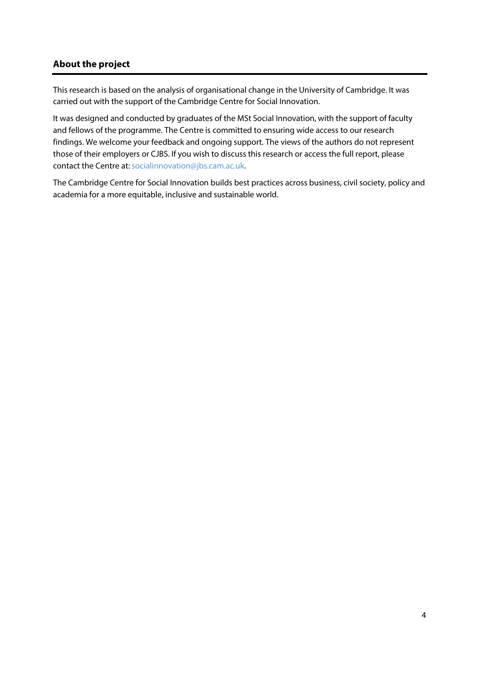## <span id="page-5-0"></span>**About the project**

This research is based on the analysis of organisational change in the University of Cambridge. It was carried out with the support of the Cambridge Centre for Social Innovation.

It was designed and conducted by graduates of the MSt Social Innovation, with the support of faculty and fellows of the programme. The Centre is committed to ensuring wide access to our research findings. We welcome your feedback and ongoing support. The views of the authors do not represent those of their employers or CJBS. If you wish to discuss this research or access the full report, please contact the Centre at[: socialinnovation@jbs.cam.ac.uk.](mailto:socialinnovation@jbs.cam.ac.uk)

The Cambridge Centre for Social Innovation builds best practices across business, civil society, policy and academia for a more equitable, inclusive and sustainable world.